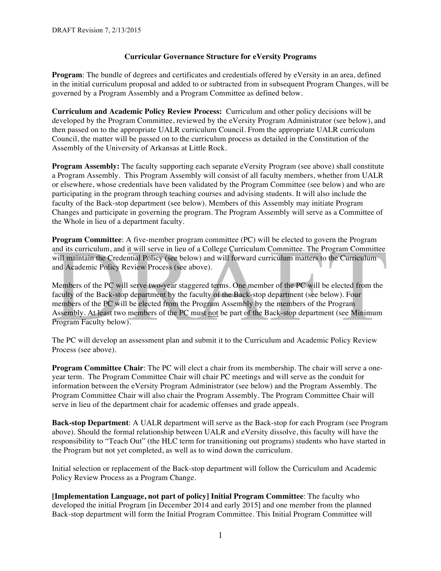## **Curricular Governance Structure for eVersity Programs**

Program: The bundle of degrees and certificates and credentials offered by eVersity in an area, defined in the initial curriculum proposal and added to or subtracted from in subsequent Program Changes, will be governed by a Program Assembly and a Program Committee as defined below.

**Curriculum and Academic Policy Review Process:** Curriculum and other policy decisions will be developed by the Program Committee, reviewed by the eVersity Program Administrator (see below), and then passed on to the appropriate UALR curriculum Council. From the appropriate UALR curriculum Council, the matter will be passed on to the curriculum process as detailed in the Constitution of the Assembly of the University of Arkansas at Little Rock.

**Program Assembly:** The faculty supporting each separate eVersity Program (see above) shall constitute a Program Assembly. This Program Assembly will consist of all faculty members, whether from UALR or elsewhere, whose credentials have been validated by the Program Committee (see below) and who are participating in the program through teaching courses and advising students. It will also include the faculty of the Back-stop department (see below). Members of this Assembly may initiate Program Changes and participate in governing the program. The Program Assembly will serve as a Committee of the Whole in lieu of a department faculty.

**Program Committee**: A five-member program committee (PC) will be elected to govern the Program and its curriculum, and it will serve in lieu of a College Curriculum Committee. The Program Committee will maintain the Credential Policy (see below) and will forward curriculum matters to the Curriculum and Academic Policy Review Process (see above).

Members of the PC will serve two**-**year staggered terms. One member of the PC will be elected from the faculty of the Back-stop department by the faculty of the Back-stop department (see below). Four members of the PC will be elected from the Program Assembly by the members of the Program Assembly. At least two members of the PC must not be part of the Back-stop department (see Minimum Program Faculty below).

The PC will develop an assessment plan and submit it to the Curriculum and Academic Policy Review Process (see above).

**Program Committee Chair**: The PC will elect a chair from its membership. The chair will serve a oneyear term. The Program Committee Chair will chair PC meetings and will serve as the conduit for information between the eVersity Program Administrator (see below) and the Program Assembly. The Program Committee Chair will also chair the Program Assembly. The Program Committee Chair will serve in lieu of the department chair for academic offenses and grade appeals.

**Back-stop Department**: A UALR department will serve as the Back-stop for each Program (see Program above). Should the formal relationship between UALR and eVersity dissolve, this faculty will have the responsibility to "Teach Out" (the HLC term for transitioning out programs) students who have started in the Program but not yet completed, as well as to wind down the curriculum.

Initial selection or replacement of the Back-stop department will follow the Curriculum and Academic Policy Review Process as a Program Change.

**[Implementation Language, not part of policy] Initial Program Committee**: The faculty who developed the initial Program [in December 2014 and early 2015] and one member from the planned Back-stop department will form the Initial Program Committee. This Initial Program Committee will